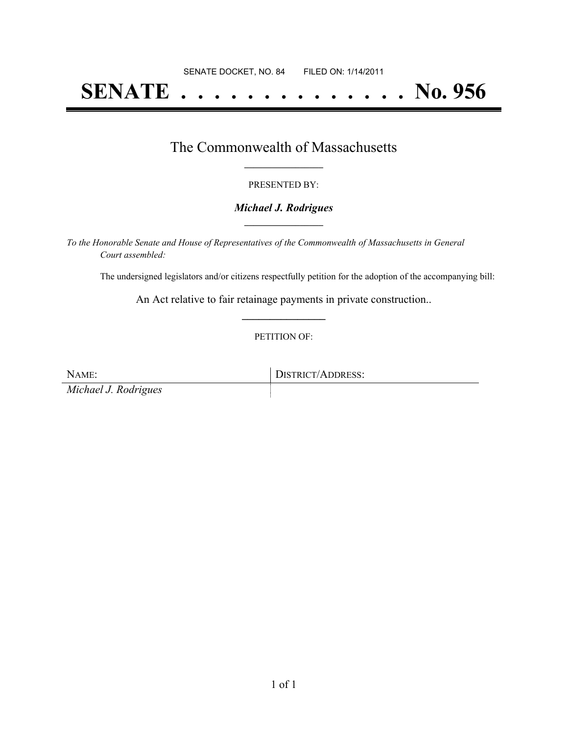# **SENATE . . . . . . . . . . . . . . No. 956**

### The Commonwealth of Massachusetts **\_\_\_\_\_\_\_\_\_\_\_\_\_\_\_\_\_**

#### PRESENTED BY:

#### *Michael J. Rodrigues* **\_\_\_\_\_\_\_\_\_\_\_\_\_\_\_\_\_**

*To the Honorable Senate and House of Representatives of the Commonwealth of Massachusetts in General Court assembled:*

The undersigned legislators and/or citizens respectfully petition for the adoption of the accompanying bill:

An Act relative to fair retainage payments in private construction.. **\_\_\_\_\_\_\_\_\_\_\_\_\_\_\_**

#### PETITION OF:

NAME: DISTRICT/ADDRESS: *Michael J. Rodrigues*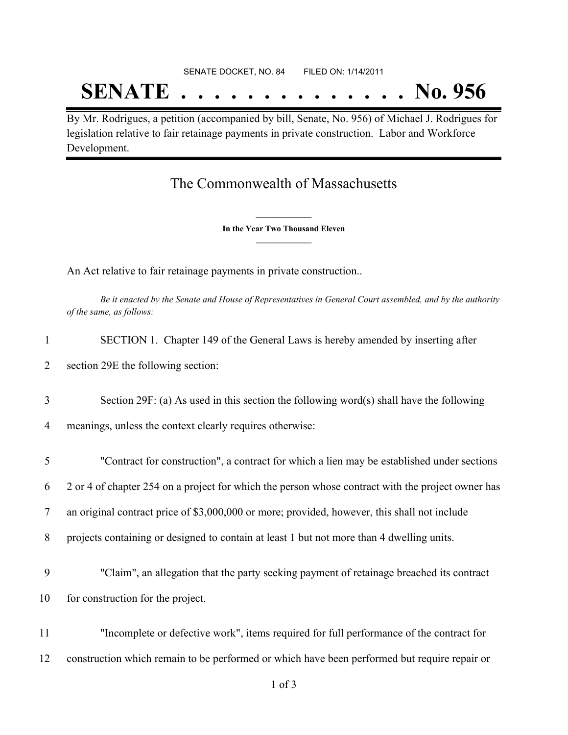# SENATE DOCKET, NO. 84 FILED ON: 1/14/2011 **SENATE . . . . . . . . . . . . . . No. 956**

By Mr. Rodrigues, a petition (accompanied by bill, Senate, No. 956) of Michael J. Rodrigues for legislation relative to fair retainage payments in private construction. Labor and Workforce Development.

## The Commonwealth of Massachusetts

**\_\_\_\_\_\_\_\_\_\_\_\_\_\_\_ In the Year Two Thousand Eleven \_\_\_\_\_\_\_\_\_\_\_\_\_\_\_**

An Act relative to fair retainage payments in private construction..

Be it enacted by the Senate and House of Representatives in General Court assembled, and by the authority *of the same, as follows:*

| $\mathbf{1}$   | SECTION 1. Chapter 149 of the General Laws is hereby amended by inserting after                   |
|----------------|---------------------------------------------------------------------------------------------------|
| $\overline{2}$ | section 29E the following section:                                                                |
| 3              | Section 29F: (a) As used in this section the following word(s) shall have the following           |
| 4              | meanings, unless the context clearly requires otherwise:                                          |
| 5              | "Contract for construction", a contract for which a lien may be established under sections        |
| 6              | 2 or 4 of chapter 254 on a project for which the person whose contract with the project owner has |
| 7              | an original contract price of \$3,000,000 or more; provided, however, this shall not include      |
| 8              | projects containing or designed to contain at least 1 but not more than 4 dwelling units.         |
| 9              | "Claim", an allegation that the party seeking payment of retainage breached its contract          |
| 10             | for construction for the project.                                                                 |
| 11             | "Incomplete or defective work", items required for full performance of the contract for           |
| 12             | construction which remain to be performed or which have been performed but require repair or      |
|                | $1$ of $3$                                                                                        |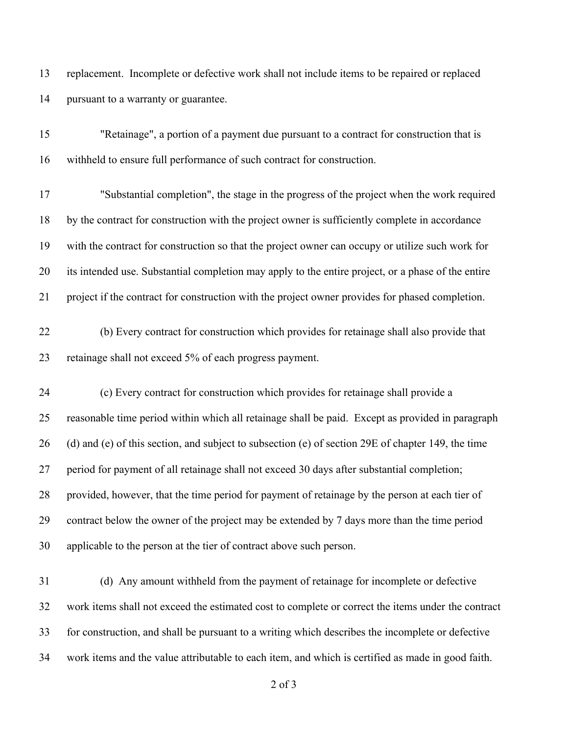replacement. Incomplete or defective work shall not include items to be repaired or replaced pursuant to a warranty or guarantee.

| 15 | "Retainage", a portion of a payment due pursuant to a contract for construction that is            |
|----|----------------------------------------------------------------------------------------------------|
| 16 | withheld to ensure full performance of such contract for construction.                             |
| 17 | "Substantial completion", the stage in the progress of the project when the work required          |
| 18 | by the contract for construction with the project owner is sufficiently complete in accordance     |
| 19 | with the contract for construction so that the project owner can occupy or utilize such work for   |
| 20 | its intended use. Substantial completion may apply to the entire project, or a phase of the entire |
| 21 | project if the contract for construction with the project owner provides for phased completion.    |
| 22 | (b) Every contract for construction which provides for retainage shall also provide that           |
| 23 | retainage shall not exceed 5% of each progress payment.                                            |
| 24 | (c) Every contract for construction which provides for retainage shall provide a                   |
| 25 | reasonable time period within which all retainage shall be paid. Except as provided in paragraph   |
| 26 | (d) and (e) of this section, and subject to subsection (e) of section 29E of chapter 149, the time |
| 27 | period for payment of all retainage shall not exceed 30 days after substantial completion;         |
| 28 | provided, however, that the time period for payment of retainage by the person at each tier of     |
| 29 | contract below the owner of the project may be extended by 7 days more than the time period        |
| 30 | applicable to the person at the tier of contract above such person.                                |
| 31 | (d) Any amount withheld from the payment of retainage for incomplete or defective                  |
| 32 | work items shall not exceed the estimated cost to complete or correct the items under the contract |
| 33 | for construction, and shall be pursuant to a writing which describes the incomplete or defective   |
| 34 | work items and the value attributable to each item, and which is certified as made in good faith.  |

of 3